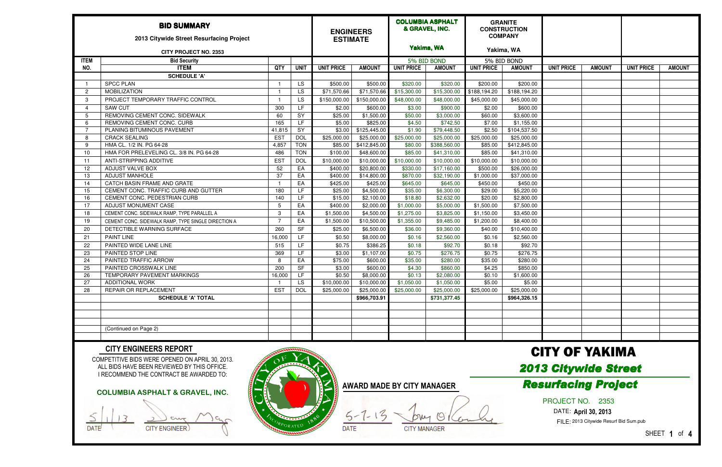|                              | <b>BID SUMMARY</b><br>2013 Citywide Street Resurfacing Project |            |             | <b>ESTIMATE</b>   | <b>ENGINEERS</b> |                   | <b>COLUMBIA ASPHALT</b><br>& GRAVEL, INC. |                   | <b>GRANITE</b><br><b>CONSTRUCTION</b><br><b>COMPANY</b> |                   |               |                   |               |
|------------------------------|----------------------------------------------------------------|------------|-------------|-------------------|------------------|-------------------|-------------------------------------------|-------------------|---------------------------------------------------------|-------------------|---------------|-------------------|---------------|
| <b>CITY PROJECT NO. 2353</b> |                                                                |            |             |                   |                  | Yakima, WA        |                                           | Yakima, WA        |                                                         |                   |               |                   |               |
| <b>ITEM</b>                  | <b>Bid Security</b>                                            |            |             |                   |                  |                   | 5% BID BOND                               |                   | 5% BID BOND                                             |                   |               |                   |               |
| NO.                          | <b>ITEM</b>                                                    | QTY        | <b>UNIT</b> | <b>UNIT PRICE</b> | <b>AMOUNT</b>    | <b>UNIT PRICE</b> | <b>AMOUNT</b>                             | <b>UNIT PRICE</b> | <b>AMOUNT</b>                                           | <b>UNIT PRICE</b> | <b>AMOUNT</b> | <b>UNIT PRICE</b> | <b>AMOUNT</b> |
|                              | <b>SCHEDULE 'A'</b>                                            |            |             |                   |                  |                   |                                           |                   |                                                         |                   |               |                   |               |
|                              | <b>SPCC PLAN</b>                                               |            | LS.         | \$500.00          | \$500.00         | \$320.00          | \$320.00                                  | \$200.00          | \$200.00                                                |                   |               |                   |               |
| -2                           | <b>MOBILIZATION</b>                                            |            | LS.         | \$71,570.66       | \$71,570.66      | \$15,300.00       | \$15,300.00                               | \$188,194.20      | $\overline{$188,194.20}$                                |                   |               |                   |               |
| -3                           | PROJECT TEMPORARY TRAFFIC CONTROL                              |            | LS.         | \$150,000.00      | \$150,000.00     | \$48,000.00       | \$48,000.00                               | \$45,000.00       | \$45,000.00                                             |                   |               |                   |               |
| -4                           | <b>SAW CUT</b>                                                 | 300        | LF.         | \$2.00            | \$600.00         | \$3.00            | \$900.00                                  | \$2.00            | \$600.00                                                |                   |               |                   |               |
| 5                            | REMOVING CEMENT CONC. SIDEWALK                                 | 60         | SY          | \$25.00           | \$1,500.00       | \$50.00           | \$3,000.00                                | \$60.00           | \$3,600.00                                              |                   |               |                   |               |
| 6                            | REMOVING CEMENT CONC. CURB                                     | 165        | LF          | \$5.00            | \$825.00         | \$4.50            | \$742.50                                  | \$7.00            | \$1,155.00                                              |                   |               |                   |               |
|                              | PLANING BITUMINOUS PAVEMENT                                    | 41,815     | SY          | \$3.00            | \$125,445.00     | \$1.90            | \$79,448.50                               | \$2.50            | \$104,537.50                                            |                   |               |                   |               |
| -8                           | <b>CRACK SEALING</b>                                           | <b>EST</b> | <b>DOL</b>  | \$25,000.00       | \$25,000.00      | \$25,000.00       | \$25,000.00                               | \$25,000.00       | \$25,000.00                                             |                   |               |                   |               |
| -9                           | HMA CL. 1/2 IN. PG 64-28                                       | 4,857      | <b>TON</b>  | \$85.00           | \$412,845.00     | \$80.00           | \$388,560.00                              | \$85.00           | \$412,845.00                                            |                   |               |                   |               |
| 10                           | HMA FOR PRELEVELING CL. 3/8 IN. PG 64-28                       | 486        | <b>TON</b>  | \$100.00          | \$48,600.00      | \$85.00           | \$41,310.00                               | \$85.00           | \$41,310.00                                             |                   |               |                   |               |
| 11                           | ANTI-STRIPPING ADDITIVE                                        | <b>EST</b> | <b>DOL</b>  | \$10,000.00       | \$10,000.00      | \$10,000.00       | \$10,000.00                               | \$10,000.00       | \$10,000.00                                             |                   |               |                   |               |
| 12                           | ADJUST VALVE BOX                                               | 52         | EA          | \$400.00          | \$20,800.00      | \$330.00          | \$17,160.00                               | \$500.00          | \$26,000.00                                             |                   |               |                   |               |
| 13                           | <b>ADJUST MANHOLE</b>                                          | 37         | EA          | \$400.00          | \$14,800.00      | \$870.00          | \$32,190.00                               | \$1,000.00        | \$37,000.00                                             |                   |               |                   |               |
| 14                           | CATCH BASIN FRAME AND GRATE                                    |            | EA          | \$425.00          | \$425.00         | \$645.00          | \$645.00                                  | \$450.00          | \$450.00                                                |                   |               |                   |               |
| 15                           | CEMENT CONC. TRAFFIC CURB AND GUTTER                           | 180        | LF.         | \$25.00           | \$4,500.00       | \$35.00           | \$6,300.00                                | \$29.00           | \$5,220.00                                              |                   |               |                   |               |
| 16                           | CEMENT CONC. PEDESTRIAN CURB                                   | 140        | LF          | \$15.00           | \$2,100.00       | \$18.80           | \$2,632.00                                | \$20.00           | \$2,800.00                                              |                   |               |                   |               |
| 17                           | ADJUST MONUMENT CASE                                           | -5         | EA          | \$400.00          | \$2,000.00       | \$1,000.00        | \$5,000.00                                | \$1,500.00        | \$7,500.00                                              |                   |               |                   |               |
| 18                           | CEMENT CONC. SIDEWALK RAMP, TYPE PARALLEL A                    | 3          | EA          | \$1,500.00        | \$4,500.00       | \$1,275.00        | \$3,825.00                                | \$1,150.00        | \$3,450.00                                              |                   |               |                   |               |
| 19                           | CEMENT CONC. SIDEWALK RAMP, TYPE SINGLE DIRECTION A            | - 7        | EA          | \$1,500.00        | \$10,500.00      | \$1,355.00        | \$9,485.00                                | \$1,200.00        | \$8,400.00                                              |                   |               |                   |               |
| 20                           | DETECTIBLE WARNING SURFACE                                     | 260        | <b>SF</b>   | \$25.00           | \$6,500.00       | \$36.00           | \$9,360.00                                | \$40.00           | \$10,400.00                                             |                   |               |                   |               |
| 21                           | <b>PAINT LINE</b>                                              | 16,000     | LF.         | \$0.50            | \$8,000.00       | \$0.16            | \$2,560.00                                | \$0.16            | \$2,560.00                                              |                   |               |                   |               |
| 22                           | PAINTED WIDE LANE LINE                                         | 515        | LF          | \$0.75            | \$386.25         | \$0.18            | \$92.70                                   | \$0.18            | \$92.70                                                 |                   |               |                   |               |
| 23                           | PAINTED STOP LINE                                              | 369        | LF.         | \$3.00            | \$1,107.00       | \$0.75            | \$276.75                                  | \$0.75            | \$276.75                                                |                   |               |                   |               |
| 24                           | PAINTED TRAFFIC ARROW                                          | -8         | EA          | \$75.00           | \$600.00         | \$35.00           | \$280.00                                  | \$35.00           | \$280.00                                                |                   |               |                   |               |
| 25                           | PAINTED CROSSWALK LINE                                         | 200        | SF          | \$3.00            | \$600.00         | \$4.30            | \$860.00                                  | \$4.25            | \$850.00                                                |                   |               |                   |               |
| 26                           | TEMPORARY PAVEMENT MARKINGS                                    | 16,000     | LF.         | \$0.50            | \$8,000.00       | \$0.13            | \$2,080.00                                | \$0.10            | \$1,600.00                                              |                   |               |                   |               |
| 27                           | <b>ADDITIONAL WORK</b>                                         |            | <b>LS</b>   | \$10,000.00       | \$10,000.00      | \$1,050.00        | \$1,050.00                                | \$5.00            | \$5.00                                                  |                   |               |                   |               |
| 28                           | REPAIR OR REPLACEMENT                                          | <b>EST</b> | <b>DOL</b>  | \$25,000.00       | \$25,000.00      | \$25,000.00       | \$25,000.00                               | \$25,000.00       | \$25,000.00                                             |                   |               |                   |               |
|                              | <b>SCHEDULE 'A' TOTAL</b>                                      |            |             |                   | \$966,703.91     |                   | \$731,377.45                              |                   | \$964,326.15                                            |                   |               |                   |               |
|                              |                                                                |            |             |                   |                  |                   |                                           |                   |                                                         |                   |               |                   |               |
|                              |                                                                |            |             |                   |                  |                   |                                           |                   |                                                         |                   |               |                   |               |
|                              |                                                                |            |             |                   |                  |                   |                                           |                   |                                                         |                   |               |                   |               |
|                              | (Continued on Page 2)                                          |            |             |                   |                  |                   |                                           |                   |                                                         |                   |               |                   |               |
|                              |                                                                |            |             |                   |                  |                   |                                           |                   |                                                         |                   |               |                   |               |

COMPETITIVE BIDS WERE OPENED ON APRIL 30, 2013. ALL BIDS HAVE BEEN REVIEWED BY THIS OFFICE. I RECOMMEND THE CONTRACT BE AWARDED TO:

DATE (CITY ENGINEER)

COLUMBIA ASPHALT & GRAVEL, INC. **Resurfacing Project** Analysis Award Made BY CITY MANAGER

## CITY ENGINEERS REPORT

AWARD MADE BY CITY MANAGER

 $-13$  $5-$ DATE CITY MANAGER

## CITY OF YAKIMA





## PROJECT NO. 2353

DATE: April 30, 2013

FILE: 2013 Citywide Resurf Bid Sum.pub

SHEET **1** of **4**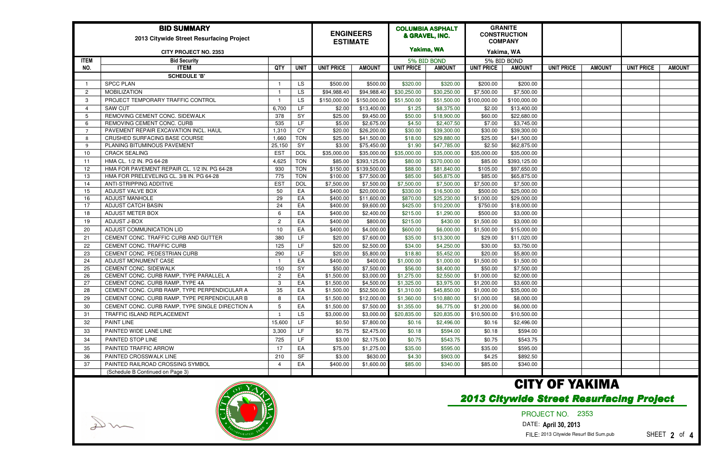| <b>BID SUMMARY</b><br>2013 Citywide Street Resurfacing Project<br><b>CITY PROJECT NO. 2353</b>                                                                 |                                                 |                |             | <b>ENGINEERS</b><br><b>ESTIMATE</b> |               | <b>COLUMBIA ASPHALT</b><br>& GRAVEL, INC.<br>Yakima, WA |               | <b>GRANITE</b><br><b>CONSTRUCTION</b><br><b>COMPANY</b><br>Yakima, WA |                         |                   |               |                   |               |
|----------------------------------------------------------------------------------------------------------------------------------------------------------------|-------------------------------------------------|----------------|-------------|-------------------------------------|---------------|---------------------------------------------------------|---------------|-----------------------------------------------------------------------|-------------------------|-------------------|---------------|-------------------|---------------|
|                                                                                                                                                                |                                                 |                |             |                                     |               | 5% BID BOND                                             |               | 5% BID BOND                                                           |                         |                   |               |                   |               |
| <b>ITEM</b><br>NO.                                                                                                                                             | <b>Bid Security</b><br><b>ITEM</b>              | <b>QTY</b>     | <b>UNIT</b> | <b>UNIT PRICE</b>                   | <b>AMOUNT</b> | <b>UNIT PRICE</b>                                       | <b>AMOUNT</b> | <b>UNIT PRICE</b>                                                     | <b>AMOUNT</b>           | <b>UNIT PRICE</b> | <b>AMOUNT</b> | <b>UNIT PRICE</b> | <b>AMOUNT</b> |
|                                                                                                                                                                | <b>SCHEDULE 'B'</b>                             |                |             |                                     |               |                                                         |               |                                                                       |                         |                   |               |                   |               |
|                                                                                                                                                                | <b>SPCC PLAN</b>                                |                | LS.         | \$500.00                            | \$500.00      | \$320.00                                                | \$320.00      | \$200.00                                                              | \$200.00                |                   |               |                   |               |
| $\overline{2}$                                                                                                                                                 | <b>MOBILIZATION</b>                             |                | LS.         | \$94,988.40                         | \$94,988.40   | \$30,250.00                                             | \$30,250.00   | \$7,500.00                                                            | \$7,500.00              |                   |               |                   |               |
| 3                                                                                                                                                              | PROJECT TEMPORARY TRAFFIC CONTROL               |                | LS.         | \$150,000.00                        | \$150,000.00  | \$51,500.00                                             | \$51,500.00   | \$100,000.00                                                          | \$100,000.00            |                   |               |                   |               |
| $\overline{4}$                                                                                                                                                 | <b>SAW CUT</b>                                  | 6,700          | LF.         | \$2.00                              | \$13,400.00   | \$1.25                                                  | \$8,375.00    | \$2.00                                                                | \$13,400.00             |                   |               |                   |               |
| -5                                                                                                                                                             | REMOVING CEMENT CONC. SIDEWALK                  | 378            | SY          | \$25.00                             | \$9,450.00    | \$50.00                                                 | \$18,900.00   | \$60.00                                                               | \$22,680.00             |                   |               |                   |               |
| 6                                                                                                                                                              | REMOVING CEMENT CONC. CURB                      | 535            | LF.         | \$5.00                              | \$2,675.00    | \$4.50                                                  | \$2,407.50    | \$7.00                                                                | \$3,745.00              |                   |               |                   |               |
| $\overline{7}$                                                                                                                                                 | PAVEMENT REPAIR EXCAVATION INCL. HAUL           | 1,310          | CY          | \$20.00                             | \$26,200.00   | \$30.00                                                 | \$39,300.00   | \$30.00                                                               | \$39,300.00             |                   |               |                   |               |
| -8                                                                                                                                                             | CRUSHED SURFACING BASE COURSE                   | 1,660          | <b>TON</b>  | \$25.00                             | \$41,500.00   | \$18.00                                                 | \$29,880.00   | \$25.00                                                               | $\overline{$41,500.00}$ |                   |               |                   |               |
| q                                                                                                                                                              | PLANING BITUMINOUS PAVEMENT                     | 25,150         | SY          | \$3.00                              | \$75,450.00   | \$1.90                                                  | \$47,785.00   | \$2.50                                                                | \$62,875.00             |                   |               |                   |               |
| 10                                                                                                                                                             | <b>CRACK SEALING</b>                            | <b>EST</b>     | <b>DOL</b>  | \$35,000.00                         | \$35,000.00   | \$35,000.00                                             | \$35,000.00   | \$35,000.00                                                           | \$35,000.00             |                   |               |                   |               |
| 11                                                                                                                                                             | HMA CL. 1/2 IN. PG 64-28                        | 4,625          | <b>TON</b>  | \$85.00                             | \$393,125.00  | \$80.00                                                 | \$370,000.00  | \$85.00                                                               | \$393,125.00            |                   |               |                   |               |
| 12                                                                                                                                                             | HMA FOR PAVEMENT REPAIR CL. 1/2 IN. PG 64-28    | 930            | <b>TON</b>  | \$150.00                            | \$139,500.00  | \$88.00                                                 | \$81,840.00   | \$105.00                                                              | \$97,650.00             |                   |               |                   |               |
| 13                                                                                                                                                             | HMA FOR PRELEVELING CL. 3/8 IN. PG 64-28        | 775            | <b>TON</b>  | \$100.00                            | \$77,500.00   | \$85.00                                                 | \$65,875.00   | \$85.00                                                               | \$65,875.00             |                   |               |                   |               |
| 14                                                                                                                                                             | ANTI-STRIPPING ADDITIVE                         | <b>EST</b>     | <b>DOL</b>  | \$7,500.00                          | \$7,500.00    | \$7,500.00                                              | \$7,500.00    | \$7,500.00                                                            | \$7,500.00              |                   |               |                   |               |
| 15                                                                                                                                                             | ADJUST VALVE BOX                                | 50             | EA          | \$400.00                            | \$20,000.00   | \$330.00                                                | \$16,500.00   | \$500.00                                                              | \$25,000.00             |                   |               |                   |               |
| 16                                                                                                                                                             | <b>ADJUST MANHOLE</b>                           | 29             | EA          | \$400.00                            | \$11,600.00   | \$870.00                                                | \$25,230.00   | \$1,000.00                                                            | \$29,000.00             |                   |               |                   |               |
| 17                                                                                                                                                             | <b>ADJUST CATCH BASIN</b>                       | 24             | EA          | \$400.00                            | \$9,600.00    | \$425.00                                                | \$10,200.00   | \$750.00                                                              | \$18,000.00             |                   |               |                   |               |
| 18                                                                                                                                                             | ADJUST METER BOX                                | 6              | EA          | \$400.00                            | \$2,400.00    | \$215.00                                                | \$1,290.00    | \$500.00                                                              | \$3,000.00              |                   |               |                   |               |
| 19                                                                                                                                                             | ADJUST J-BOX                                    | $\overline{2}$ | EA          | \$400.00                            | \$800.00      | \$215.00                                                | \$430.00      | \$1,500.00                                                            | \$3,000.00              |                   |               |                   |               |
| 20                                                                                                                                                             | ADJUST COMMUNICATION LID                        | 10             | EA          | \$400.00                            | \$4,000.00    | \$600.00                                                | \$6,000.00    | \$1,500.00                                                            | \$15,000.00             |                   |               |                   |               |
| 21                                                                                                                                                             | CEMENT CONC. TRAFFIC CURB AND GUTTER            | 380            | LF.         | \$20.00                             | \$7,600.00    | \$35.00                                                 | \$13,300.00   | \$29.00                                                               | \$11,020.00             |                   |               |                   |               |
| 22                                                                                                                                                             | CEMENT CONC. TRAFFIC CURB                       | 125            | LF.         | \$20.00                             | \$2,500.00    | \$34.00                                                 | \$4,250.00    | \$30.00                                                               | \$3,750.00              |                   |               |                   |               |
| 23                                                                                                                                                             | CEMENT CONC. PEDESTRIAN CURB                    | 290            | LF.         | \$20.00                             | \$5,800.00    | \$18.80                                                 | \$5,452.00    | \$20.00                                                               | \$5,800.00              |                   |               |                   |               |
| 24                                                                                                                                                             | ADJUST MONUMENT CASE                            |                | EA          | \$400.00                            | \$400.00      | \$1,000.00                                              | \$1,000.00    | \$1,500.00                                                            | \$1,500.00              |                   |               |                   |               |
| 25                                                                                                                                                             | CEMENT CONC. SIDEWALK                           | 150            | <b>SY</b>   | \$50.00                             | \$7,500.00    | \$56.00                                                 | \$8,400.00    | \$50.00                                                               | \$7,500.00              |                   |               |                   |               |
| 26                                                                                                                                                             | CEMENT CONC. CURB RAMP, TYPE PARALLEL A         | $\overline{c}$ | EA          | \$1,500.00                          | \$3,000.00    | \$1,275.00                                              | \$2,550.00    | \$1,000.00                                                            | \$2,000.00              |                   |               |                   |               |
| 27                                                                                                                                                             | CEMENT CONC. CURB RAMP, TYPE 4A                 | -3             | EA          | \$1,500.00                          | \$4,500.00    | \$1,325.00                                              | \$3,975.00    | $\overline{$1,200.00}$                                                | \$3,600.00              |                   |               |                   |               |
| 28                                                                                                                                                             | CEMENT CONC. CURB RAMP, TYPE PERPENDICULAR A    | 35             | EA          | \$1,500.00                          | \$52,500.00   | \$1,310.00                                              | \$45,850.00   | \$1,000.00                                                            | \$35,000.00             |                   |               |                   |               |
| 29                                                                                                                                                             | CEMENT CONC. CURB RAMP, TYPE PERPENDICULAR B    | 8              | EA          | \$1,500.00                          | \$12,000.00   | \$1,360.00                                              | \$10,880.00   | \$1,000.00                                                            | \$8,000.00              |                   |               |                   |               |
| 30                                                                                                                                                             | CEMENT CONC. CURB RAMP, TYPE SINGLE DIRECTION A | -5             | EA          | \$1,500.00                          | \$7,500.00    | \$1,355.00                                              | \$6,775.00    | \$1,200.00                                                            | \$6,000.00              |                   |               |                   |               |
| -31                                                                                                                                                            | TRAFFIC ISLAND REPLACEMENT                      |                | LS.         | \$3,000.00                          | \$3,000.00    | \$20,835.00                                             | \$20,835.00   | \$10,500.00                                                           | \$10,500.00             |                   |               |                   |               |
| 32                                                                                                                                                             | PAINT LINE                                      | 15,600         | LF.         | \$0.50                              | \$7,800.00    | \$0.16                                                  | \$2,496.00    | \$0.16                                                                | \$2,496.00              |                   |               |                   |               |
| 33                                                                                                                                                             | PAINTED WIDE LANE LINE                          | 3,300          | LF          | \$0.75                              | \$2,475.00    | \$0.18                                                  | \$594.00      | \$0.18                                                                | \$594.00                |                   |               |                   |               |
| 34                                                                                                                                                             | PAINTED STOP LINE                               | 725            | LF.         | \$3.00                              | \$2,175.00    | \$0.75                                                  | \$543.75      | \$0.75                                                                | \$543.75                |                   |               |                   |               |
| 35                                                                                                                                                             | PAINTED TRAFFIC ARROW                           | 17             | EA          | \$75.00                             | \$1,275.00    | \$35.00                                                 | \$595.00      | \$35.00                                                               | \$595.00                |                   |               |                   |               |
| 36                                                                                                                                                             | PAINTED CROSSWALK LINE                          | 210            | <b>SF</b>   | \$3.00                              | \$630.00      | \$4.30                                                  | \$903.00      | \$4.25                                                                | \$892.50                |                   |               |                   |               |
|                                                                                                                                                                | PAINTED RAILROAD CROSSING SYMBOL                |                |             |                                     |               |                                                         |               |                                                                       |                         |                   |               |                   |               |
| 37                                                                                                                                                             | (Schedule B Continued on Page 3)                | $\overline{4}$ | EA          | \$400.00                            | \$1,600.00    | \$85.00                                                 | \$340.00      | \$85.00                                                               | \$340.00                |                   |               |                   |               |
|                                                                                                                                                                |                                                 |                |             |                                     |               |                                                         |               |                                                                       |                         |                   |               |                   |               |
| <b>CITY OF YAKIMA</b><br><b>2013 Citywide Street Resurfacing Project</b><br>PROJECT NO. 2353<br>DATE: April 30, 2013<br>FILE: 2013 Citywide Resurf Bid Sum.pub |                                                 |                |             |                                     |               |                                                         |               |                                                                       |                         | SHEET 2 of 4      |               |                   |               |

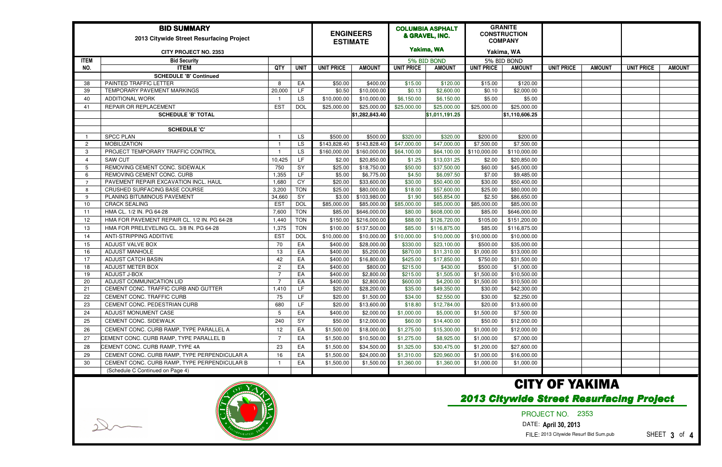| <b>BID SUMMARY</b><br>2013 Citywide Street Resurfacing Project<br><b>CITY PROJECT NO. 2353</b>                       |                                              |                |             |                   | <b>ENGINEERS</b><br><b>ESTIMATE</b> |                   | <b>COLUMBIA ASPHALT</b><br>& GRAVEL, INC.<br>Yakima, WA |                   | <b>GRANITE</b><br><b>CONSTRUCTION</b><br><b>COMPANY</b><br>Yakima, WA |                   |               |                   |               |
|----------------------------------------------------------------------------------------------------------------------|----------------------------------------------|----------------|-------------|-------------------|-------------------------------------|-------------------|---------------------------------------------------------|-------------------|-----------------------------------------------------------------------|-------------------|---------------|-------------------|---------------|
| <b>ITEM</b>                                                                                                          | <b>Bid Security</b>                          |                |             |                   |                                     | 5% BID BOND       |                                                         | 5% BID BOND       |                                                                       |                   |               |                   |               |
| NO.                                                                                                                  | <b>ITEM</b>                                  | <b>QTY</b>     | <b>UNIT</b> | <b>UNIT PRICE</b> | <b>AMOUNT</b>                       | <b>UNIT PRICE</b> | <b>AMOUNT</b>                                           | <b>UNIT PRICE</b> | <b>AMOUNT</b>                                                         | <b>UNIT PRICE</b> | <b>AMOUNT</b> | <b>UNIT PRICE</b> | <b>AMOUNT</b> |
|                                                                                                                      | <b>SCHEDULE 'B' Continued</b>                |                |             |                   |                                     |                   |                                                         |                   |                                                                       |                   |               |                   |               |
| 38                                                                                                                   | PAINTED TRAFFIC LETTER                       | -8             | EA          | \$50.00           | \$400.00                            | \$15.00           | \$120.00                                                | \$15.00           | \$120.00                                                              |                   |               |                   |               |
| 39                                                                                                                   | TEMPORARY PAVEMENT MARKINGS                  | 20,000         | LF.         | \$0.50            | \$10,000.00                         | \$0.13            | \$2,600.00                                              | \$0.10            | $\sqrt{$2,000.00}$                                                    |                   |               |                   |               |
| 40                                                                                                                   | <b>ADDITIONAL WORK</b>                       |                | <b>LS</b>   | \$10,000.00       | \$10,000.00                         | \$6,150.00        | \$6,150.00                                              | \$5.00            | \$5.00                                                                |                   |               |                   |               |
| 41                                                                                                                   | <b>REPAIR OR REPLACEMENT</b>                 | <b>EST</b>     | <b>DOL</b>  | \$25,000.00       | \$25,000.00                         | \$25,000.00       | \$25,000.00                                             | \$25,000.00       | \$25,000.00                                                           |                   |               |                   |               |
|                                                                                                                      | <b>SCHEDULE 'B' TOTAL</b>                    |                |             |                   | \$1,282,843.40                      |                   | \$1,011,191.25                                          |                   | \$1,110,606.25                                                        |                   |               |                   |               |
|                                                                                                                      |                                              |                |             |                   |                                     |                   |                                                         |                   |                                                                       |                   |               |                   |               |
|                                                                                                                      | <b>SCHEDULE 'C'</b>                          |                |             |                   |                                     |                   |                                                         |                   |                                                                       |                   |               |                   |               |
|                                                                                                                      | <b>SPCC PLAN</b>                             |                | LS.         | \$500.00          | \$500.00                            | \$320.00          | \$320.00                                                | \$200.00          | \$200.00                                                              |                   |               |                   |               |
| 2                                                                                                                    | <b>MOBILIZATION</b>                          |                | LS          | \$143,828.40      | \$143,828.40                        | \$47,000.00       | \$47,000.00                                             | \$7,500.00        | \$7,500.00                                                            |                   |               |                   |               |
| -3                                                                                                                   | PROJECT TEMPORARY TRAFFIC CONTROL            |                | LS          | \$160,000.00      | \$160,000.00                        | \$64,100.00       | \$64,100.00                                             | \$110,000.00      | \$110,000.00                                                          |                   |               |                   |               |
| $\boldsymbol{\Lambda}$                                                                                               | <b>SAW CUT</b>                               | 10,425         | LF.         | \$2.00            | \$20,850.00                         | \$1.25            | \$13,031.25                                             | \$2.00            | \$20,850.00                                                           |                   |               |                   |               |
| -5                                                                                                                   | REMOVING CEMENT CONC. SIDEWALK               | 750            | SY          | \$25.00           | \$18,750.00                         | \$50.00           | \$37,500.00                                             | \$60.00           | \$45,000.00                                                           |                   |               |                   |               |
| -6                                                                                                                   | REMOVING CEMENT CONC. CURB                   | 1,355          | LF          | \$5.00            | \$6,775.00                          | \$4.50            | \$6,097.50                                              | \$7.00            | \$9,485.00                                                            |                   |               |                   |               |
| - 7                                                                                                                  | PAVEMENT REPAIR EXCAVATION INCL. HAUL        | 1,680          | CY          | \$20.00           | \$33,600.00                         | \$30.00           | \$50,400.00                                             | \$30.00           | \$50,400.00                                                           |                   |               |                   |               |
| -8                                                                                                                   | CRUSHED SURFACING BASE COURSE                | 3,200          | <b>TON</b>  | \$25.00           | \$80,000.00                         | \$18.00           | \$57,600.00                                             | \$25.00           | \$80,000.00                                                           |                   |               |                   |               |
| - 9                                                                                                                  | PLANING BITUMINOUS PAVEMENT                  | 34,660         | SY          | \$3.00            | \$103,980.00                        | \$1.90            | \$65,854.00                                             | \$2.50            | \$86,650.00                                                           |                   |               |                   |               |
| 10                                                                                                                   | <b>CRACK SEALING</b>                         | <b>EST</b>     | <b>DOL</b>  | \$85,000.00       | \$85,000.00                         | \$85,000.00       | \$85,000.00                                             | \$85,000.00       | \$85,000.00                                                           |                   |               |                   |               |
| -11                                                                                                                  | HMA CL. 1/2 IN. PG 64-28                     | 7,600          | <b>TON</b>  | \$85.00           | \$646,000.00                        | \$80.00           | \$608,000.00                                            | \$85.00           | \$646,000.00                                                          |                   |               |                   |               |
| 12                                                                                                                   | HMA FOR PAVEMENT REPAIR CL. 1/2 IN. PG 64-28 | 1,440          | <b>TON</b>  | \$150.00          | \$216,000.00                        | \$88.00           | \$126,720.00                                            | \$105.00          | \$151,200.00                                                          |                   |               |                   |               |
| 13                                                                                                                   | HMA FOR PRELEVELING CL. 3/8 IN. PG 64-28     | 1,375          | <b>TON</b>  | \$100.00          | \$137,500.00                        | \$85.00           | \$116,875.00                                            | \$85.00           | \$116,875.00                                                          |                   |               |                   |               |
| 14                                                                                                                   | ANTI-STRIPPING ADDITIVE                      | <b>EST</b>     | <b>DOL</b>  | \$10,000.00       | \$10,000.00                         | \$10,000.00       | \$10,000.00                                             | \$10,000.00       | \$10,000.00                                                           |                   |               |                   |               |
| 15                                                                                                                   | ADJUST VALVE BOX                             | 70             | EA          | \$400.00          | \$28,000.00                         | \$330.00          | \$23,100.00                                             | \$500.00          | \$35,000.00                                                           |                   |               |                   |               |
| 16                                                                                                                   | <b>ADJUST MANHOLE</b>                        | 13             | EA          | \$400.00          | \$5,200.00                          | \$870.00          | \$11,310.00                                             | \$1,000.00        | \$13,000.00                                                           |                   |               |                   |               |
| 17                                                                                                                   | <b>ADJUST CATCH BASIN</b>                    | 42             | EA          | \$400.00          | \$16,800.00                         | \$425.00          | \$17,850.00                                             | \$750.00          | \$31,500.00                                                           |                   |               |                   |               |
| 18                                                                                                                   | ADJUST METER BOX                             | $\overline{2}$ | EA          | \$400.00          | \$800.00                            | \$215.00          | \$430.00                                                | \$500.00          | \$1,000.00                                                            |                   |               |                   |               |
| 19                                                                                                                   | ADJUST J-BOX                                 |                | EA          | \$400.00          | \$2,800.00                          | \$215.00          | \$1,505.00                                              | \$1,500.00        | \$10,500.00                                                           |                   |               |                   |               |
| 20                                                                                                                   | ADJUST COMMUNICATION LID                     |                | EA          | \$400.00          | \$2,800.00                          | \$600.00          | \$4,200.00                                              | \$1,500.00        | \$10,500.00                                                           |                   |               |                   |               |
| 21                                                                                                                   | CEMENT CONC. TRAFFIC CURB AND GUTTER         | 1,410          | LF.         | \$20.00           | \$28,200.00                         | \$35.00           | \$49,350.00                                             | \$30.00           | \$42,300.00                                                           |                   |               |                   |               |
| 22                                                                                                                   | CEMENT CONC. TRAFFIC CURB                    | 75             | LF.         | \$20.00           | \$1,500.00                          | \$34.00           | \$2,550.00                                              | \$30.00           | \$2,250.00                                                            |                   |               |                   |               |
| 23                                                                                                                   | CEMENT CONC. PEDESTRIAN CURB                 | 680            | LF.         | \$20.00           | \$13,600.00                         | \$18.80           | \$12,784.00                                             | \$20.00           | \$13,600.00                                                           |                   |               |                   |               |
| 24                                                                                                                   | ADJUST MONUMENT CASE                         | -5             | EA          | \$400.00          | \$2,000.00                          | \$1,000.00        | \$5,000.00                                              | \$1,500.00        | \$7,500.00                                                            |                   |               |                   |               |
| 25                                                                                                                   | CEMENT CONC. SIDEWALK                        | 240            | SY          | \$50.00           | \$12,000.00                         | \$60.00           | \$14,400.00                                             | \$50.00           | \$12,000.00                                                           |                   |               |                   |               |
| 26                                                                                                                   | CEMENT CONC. CURB RAMP, TYPE PARALLEL A      | 12             | EA          | \$1,500.00        | \$18,000.00                         | \$1,275.00        | \$15,300.00                                             | \$1,000.00        | \$12,000.00                                                           |                   |               |                   |               |
| 27                                                                                                                   | CEMENT CONC. CURB RAMP, TYPE PARALLEL B      | $\overline{7}$ | EA          | \$1,500.00        | \$10,500.00                         | \$1,275.00        | \$8,925.00                                              | \$1,000.00        | \$7,000.00                                                            |                   |               |                   |               |
| 28                                                                                                                   | CEMENT CONC. CURB RAMP, TYPE 4A              | 23             | EA          | \$1,500.00        | \$34,500.00                         | \$1,325.00        | \$30,475.00                                             | \$1,200.00        | \$27,600.00                                                           |                   |               |                   |               |
| 29                                                                                                                   | CEMENT CONC. CURB RAMP, TYPE PERPENDICULAR A | 16             | EA          | \$1,500.00        | \$24,000.00                         | \$1,310.00        | \$20,960.00                                             | \$1,000.00        | \$16,000.00                                                           |                   |               |                   |               |
| 30                                                                                                                   | CEMENT CONC. CURB RAMP, TYPE PERPENDICULAR B |                | EA          | \$1,500.00        | \$1,500.00                          | \$1,360.00        | \$1,360.00                                              | \$1,000.00        | \$1,000.00                                                            |                   |               |                   |               |
|                                                                                                                      | (Schedule C Continued on Page 4)             |                |             |                   |                                     |                   |                                                         |                   |                                                                       |                   |               |                   |               |
| <b>CITY OF YAKIMA</b><br><b>2013 Citywide Street Resurfacing Project</b><br>PROJECT NO. 2353<br>DATE: April 30, 2013 |                                              |                |             |                   |                                     |                   |                                                         |                   |                                                                       |                   |               |                   |               |



FILE:2013 Citywide Resurf Bid Sum.pub

SHEET **3** of **4**